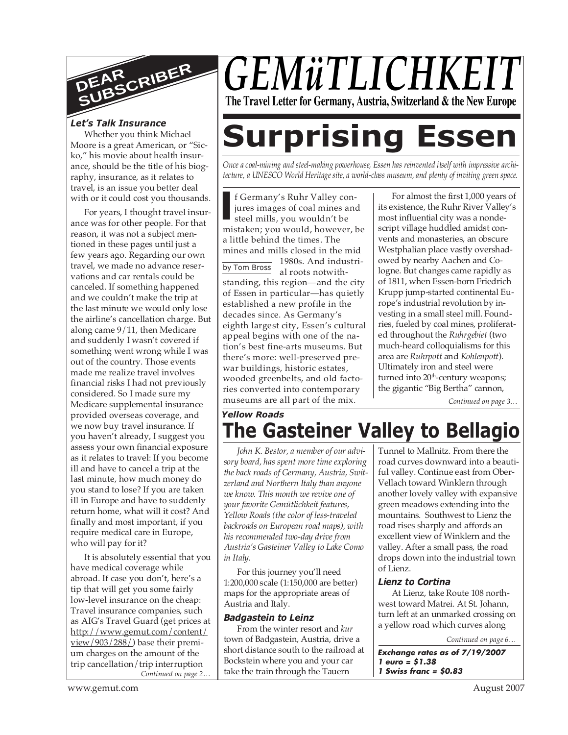

Whether you think Michael Moore is a great American, or "Sicko," his movie about health insurance, should be the title of his biography, insurance, as it relates to travel, is an issue you better deal with or it could cost you thousands.

For years, I thought travel insurance was for other people. For that reason, it was not a subject mentioned in these pages until just a few years ago. Regarding our own travel, we made no advance reservations and car rentals could be canceled. If something happened and we couldn't make the trip at the last minute we would only lose the airline's cancellation charge. But along came 9/11, then Medicare and suddenly I wasn't covered if something went wrong while I was out of the country. Those events made me realize travel involves financial risks I had not previously considered. So I made sure my Medicare supplemental insurance provided overseas coverage, and we now buy travel insurance. If you haven't already, I suggest you assess your own financial exposure as it relates to travel: If you become ill and have to cancel a trip at the last minute, how much money do you stand to lose? If you are taken ill in Europe and have to suddenly return home, what will it cost? And finally and most important, if you require medical care in Europe, who will pay for it?

*Continued on page 2…* It is absolutely essential that you have medical coverage while abroad. If case you don't, here's a tip that will get you some fairly low-level insurance on the cheap: Travel insurance companies, such as AIG's Travel Guard (get prices at http://www.gemut.com/content/ view/903/288/) base their premium charges on the amount of the trip cancellation/trip interruption

## *GEMÜTLICHKE* **The Travel Letter for Germany, Austria, Switzerland & the New Europe**

# Let's Talk Insurance<br>Whether you think Michael **Surprising Essen**

*Once a coal-mining and steel-making powerhouse, Essen has reinvented itself with impressive architecture, a UNESCO World Heritage site, a world-class museum, and plenty of inviting green space.*

**I** f Germany's Ruhr Valley conjures images of coal mines and steel mills, you wouldn't be mistaken; you would, however, be f Germany's Ruhr Valley conjures images of coal mines and steel mills, you wouldn't be a little behind the times. The mines and mills closed in the mid

by Tom Bross 1980s. And industrial roots notwithstanding, this region—and the city of Essen in particular—has quietly established a new profile in the decades since. As Germany's eighth largest city, Essen's cultural appeal begins with one of the nation's best fine-arts museums. But there's more: well-preserved prewar buildings, historic estates, wooded greenbelts, and old factories converted into contemporary museums are all part of the mix.

For almost the first 1,000 years of its existence, the Ruhr River Valley's most influential city was a nondescript village huddled amidst convents and monasteries, an obscure Westphalian place vastly overshadowed by nearby Aachen and Cologne. But changes came rapidly as of 1811, when Essen-born Friedrich Krupp jump-started continental Europe's industrial revolution by investing in a small steel mill. Foundries, fueled by coal mines, proliferated throughout the *Ruhrgebiet* (two much-heard colloquialisms for this area are *Ruhrpott* and *Kohlenpott*). Ultimately iron and steel were turned into 20<sup>th</sup>-century weapons; the gigantic "Big Bertha" cannon,

*Continued on page 3…*

## *Yellow Roads*

**The Gasteiner Valley to Bellagio** *John K. Bestor, a member of our advi-*

*sory board, has spent more time exploring the back roads of Germany, Austria, Switzerland and Northern Italy than anyone we know. This month we revive one of your favorite Gemütlichkeit features, Yellow Roads (the color of less-traveled backroads on European road maps), with his recommended two-day drive from Austria's Gasteiner Valley to Lake Como in Italy.*

For this journey you'll need 1:200,000 scale (1:150,000 are better) maps for the appropriate areas of Austria and Italy.

#### *Badgastein to Leinz*

From the winter resort and *kur* town of Badgastein, Austria, drive a short distance south to the railroad at Bockstein where you and your car take the train through the Tauern

Tunnel to Mallnitz. From there the road curves downward into a beautiful valley. Continue east from Ober-Vellach toward Winklern through another lovely valley with expansive green meadows extending into the mountains. Southwest to Lienz the road rises sharply and affords an excellent view of Winklern and the valley. After a small pass, the road drops down into the industrial town of Lienz.

#### *Lienz to Cortina*

At Lienz, take Route 108 northwest toward Matrei. At St. Johann, turn left at an unmarked crossing on a yellow road which curves along

*Continued on page 6…*

**Exchange rates as of 7/19/2007 1 euro = \$1.38 1 Swiss franc = \$0.83**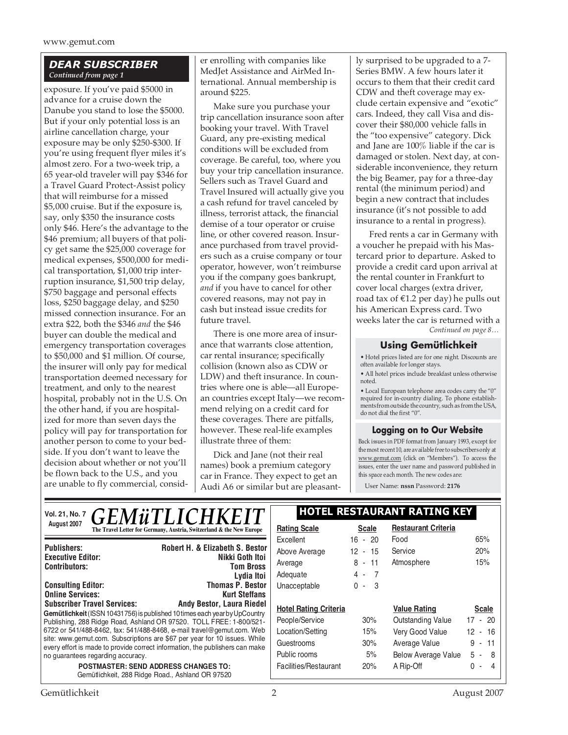www.gemut.com

#### *DEAR SUBSCRIBER Continued from page 1*

exposure. If you've paid \$5000 in advance for a cruise down the Danube you stand to lose the \$5000. But if your only potential loss is an airline cancellation charge, your exposure may be only \$250-\$300. If you're using frequent flyer miles it's almost zero. For a two-week trip, a 65 year-old traveler will pay \$346 for a Travel Guard Protect-Assist policy that will reimburse for a missed \$5,000 cruise. But if the exposure is, say, only \$350 the insurance costs only \$46. Here's the advantage to the \$46 premium; all buyers of that policy get same the \$25,000 coverage for medical expenses, \$500,000 for medical transportation, \$1,000 trip interruption insurance, \$1,500 trip delay, \$750 baggage and personal effects loss, \$250 baggage delay, and \$250 missed connection insurance. For an extra \$22, both the \$346 *and* the \$46 buyer can double the medical and emergency transportation coverages to \$50,000 and \$1 million. Of course, the insurer will only pay for medical transportation deemed necessary for treatment, and only to the nearest hospital, probably not in the U.S. On the other hand, if you are hospitalized for more than seven days the policy will pay for transportation for another person to come to your bedside. If you don't want to leave the decision about whether or not you'll be flown back to the U.S., and you are unable to fly commercial, consid-

er enrolling with companies like MedJet Assistance and AirMed International. Annual membership is around \$225.

Make sure you purchase your trip cancellation insurance soon after booking your travel. With Travel Guard, any pre-existing medical conditions will be excluded from coverage. Be careful, too, where you buy your trip cancellation insurance. Sellers such as Travel Guard and Travel Insured will actually give you a cash refund for travel canceled by illness, terrorist attack, the financial demise of a tour operator or cruise line, or other covered reason. Insurance purchased from travel providers such as a cruise company or tour operator, however, won't reimburse you if the company goes bankrupt, *and* if you have to cancel for other covered reasons, may not pay in cash but instead issue credits for future travel.

There is one more area of insurance that warrants close attention, car rental insurance; specifically collision (known also as CDW or LDW) and theft insurance. In countries where one is able—all European countries except Italy—we recommend relying on a credit card for these coverages. There are pitfalls, however. These real-life examples illustrate three of them:

Dick and Jane (not their real names) book a premium category car in France. They expect to get an Audi A6 or similar but are pleasantly surprised to be upgraded to a 7- Series BMW. A few hours later it occurs to them that their credit card CDW and theft coverage may exclude certain expensive and "exotic" cars. Indeed, they call Visa and discover their \$80,000 vehicle falls in the "too expensive" category. Dick and Jane are 100% liable if the car is damaged or stolen. Next day, at considerable inconvenience, they return the big Beamer, pay for a three-day rental (the minimum period) and begin a new contract that includes insurance (it's not possible to add insurance to a rental in progress).

Fred rents a car in Germany with a voucher he prepaid with his Mastercard prior to departure. Asked to provide a credit card upon arrival at the rental counter in Frankfurt to cover local charges (extra driver, road tax of  $£1.2$  per day) he pulls out his American Express card. Two weeks later the car is returned with a *Continued on page 8…*

#### **Using Gemütlichkeit**

• Hotel prices listed are for one night. Discounts are often available for longer stays.

• All hotel prices include breakfast unless otherwise noted.

• Local European telephone area codes carry the "0" required for in-country dialing. To phone establish-ments from outside the country, such as from the USA, do not dial the first "0".

#### **Logging on to Our Website**

Back issues in PDF format from January 1993, except for the most recent 10, are available free to subscribers only at www.gemut.com (click on "Members"). To access the issues, enter the user name and password published in this space each month. The new codes are:

User Name: **nssn** Password: **2176**

| <b>GEMÜTLICHKEIT</b><br><b>Vol. 21, No. 7</b>                                                                                                             | <b>HOTEL RESTAURANT RATING KEY</b> |                         |                            |                                    |
|-----------------------------------------------------------------------------------------------------------------------------------------------------------|------------------------------------|-------------------------|----------------------------|------------------------------------|
| August 2007<br>The Travel Letter for Germany, Austria, Switzerland & the New Europe                                                                       | <b>Rating Scale</b>                | <b>Scale</b>            | <b>Restaurant Criteria</b> |                                    |
|                                                                                                                                                           | Excellent                          | $16 - 20$               | Food                       | 65%                                |
| <b>Robert H. &amp; Elizabeth S. Bestor</b><br><b>Publishers:</b>                                                                                          | Above Average                      | $12 - 15$               | Service                    | 20%                                |
| Nikki Goth Itoi<br><b>Executive Editor:</b><br><b>Contributors:</b><br><b>Tom Bross</b>                                                                   | Average                            | $8 - 11$                | Atmosphere                 | 15%                                |
| Lydia Itoi                                                                                                                                                | Adequate                           | $4 -$<br>$\overline{7}$ |                            |                                    |
| <b>Thomas P. Bestor</b><br><b>Consulting Editor:</b>                                                                                                      | Unacceptable                       | $0 - 3$                 |                            |                                    |
| <b>Online Services:</b><br><b>Kurt Steffans</b>                                                                                                           |                                    |                         |                            |                                    |
| <b>Subscriber Travel Services:</b><br><b>Andy Bestor, Laura Riedel</b>                                                                                    | <b>Hotel Rating Criteria</b>       |                         | <b>Value Rating</b>        | <b>Scale</b>                       |
| Gemütlichkeit (ISSN 10431756) is published 10 times each year by UpCountry<br>Publishing, 288 Ridge Road, Ashland OR 97520. TOLL FREE: 1-800/521-         | People/Service                     | 30%                     | <b>Outstanding Value</b>   | $17 - 20$                          |
| 6722 or 541/488-8462, fax: 541/488-8468, e-mail travel@gemut.com. Web                                                                                     | Location/Setting                   | 15%                     | Very Good Value            | 12 <sup>2</sup><br>- 16            |
| site: www.gemut.com. Subscriptions are \$67 per year for 10 issues. While<br>every effort is made to provide correct information, the publishers can make | Guestrooms                         | 30%                     | Average Value              | $9 -$<br>11                        |
| no guarantees regarding accuracy.                                                                                                                         | Public rooms                       | 5%                      | <b>Below Average Value</b> | 5<br>-8<br>$\sim$ 100 $\mu$        |
| <b>POSTMASTER: SEND ADDRESS CHANGES TO:</b><br>Gemütlichkeit, 288 Ridge Road., Ashland OR 97520                                                           | Facilities/Restaurant              | 20%                     | A Rip-Off                  | 0<br>Δ<br>$\overline{\phantom{a}}$ |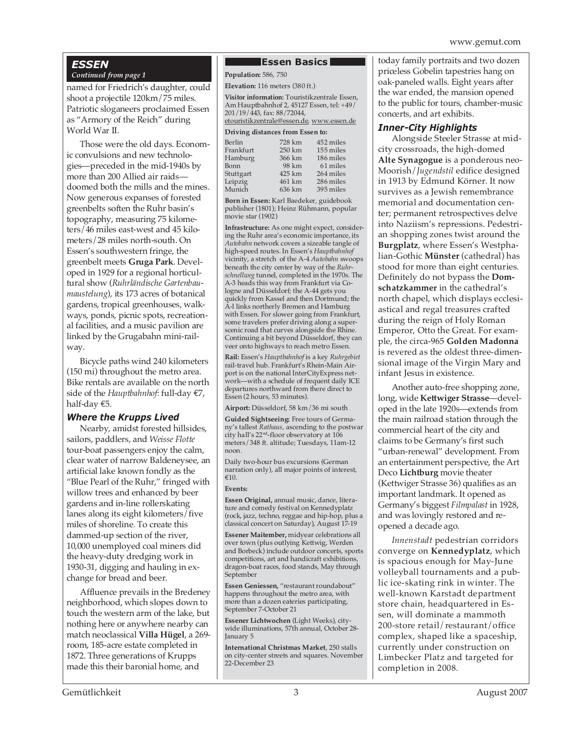### *ESSEN*

#### *Continued from page 1*

named for Friedrich's daughter, could shoot a projectile 120km/75 miles. Patriotic sloganeers proclaimed Essen as "Armory of the Reich" during World War II.

Those were the old days. Economic convulsions and new technologies—preceded in the mid-1940s by more than 200 Allied air raids doomed both the mills and the mines. Now generous expanses of forested greenbelts soften the Ruhr basin's topography, measuring 75 kilometers/46 miles east-west and 45 kilometers/28 miles north-south. On Essen's southwestern fringe, the greenbelt meets **Gruga Park**. Developed in 1929 for a regional horticultural show (*Ruhrländische Gartenbaumaustelung*), its 173 acres of botanical gardens, tropical greenhouses, walkways, ponds, picnic spots, recreational facilities, and a music pavilion are linked by the Grugabahn mini-railway.

Bicycle paths wind 240 kilometers (150 mi) throughout the metro area. Bike rentals are available on the north side of the *Hauptbahnhof*: full-day €7, half-day €5.

#### *Where the Krupps Lived*

Nearby, amidst forested hillsides, sailors, paddlers, and *Weisse Flotte* tour-boat passengers enjoy the calm, clear water of narrow Baldeneysee, an artificial lake known fondly as the "Blue Pearl of the Ruhr," fringed with willow trees and enhanced by beer gardens and in-line rollerskating lanes along its eight kilometers/five miles of shoreline. To create this dammed-up section of the river, 10,000 unemployed coal miners did the heavy-duty dredging work in 1930-31, digging and hauling in exchange for bread and beer.

Affluence prevails in the Bredeney neighborhood, which slopes down to touch the western arm of the lake, but nothing here or anywhere nearby can match neoclassical **Villa Hügel**, a 269 room, 185-acre estate completed in 1872. Three generations of Krupps made this their baronial home, and

#### **Essen Basics**

**Population:** 586, 750

**Elevation:** 116 meters (380 ft.)

**Visitor information:** Touristikzentrale Essen, Am Hauptbahnhof 2, 45127 Essen, tel: +49/ 201/19/443, fax: 88/72044, etouristikzentrale@essen.de, www.essen.de

#### **Driving distances from Essen to:**

| Berlin    | 728 km | 452 miles |  |  |
|-----------|--------|-----------|--|--|
| Frankfurt | 250 km | 155 miles |  |  |
| Hamburg   | 366 km | 186 miles |  |  |
| Bonn      | 98 km  | 61 miles  |  |  |
| Stuttgart | 425 km | 264 miles |  |  |
| Leipzig   | 461 km | 286 miles |  |  |
| Munich    | 636 km | 395 miles |  |  |
|           |        |           |  |  |

**Born in Essen:** Karl Baedeker, guidebook publisher (1801); Heinz Rühmann, popular movie star (1902)

**Infrastructure:** As one might expect, considering the Ruhr area's economic importance, its *Autobahn* network covers a sizeable tangle of high-speed routes. In Essen's *Hauptbahnhof* vicinity, a stretch of the A-4 *Autobahn* swoops beneath the city center by way of the *Ruhrschnellweg* tunnel, completed in the 1970s. The A-3 heads this way from Frankfurt via Cologne and Düsseldorf; the A-44 gets you quickly from Kassel and then Dortmund; the A-l links northerly Bremen and Hamburg with Essen. For slower going from Frankfurt, some travelers prefer driving along a superscenic road that curves alongside the Rhine. Continuing a bit beyond Düsseldorf, they can veer onto highways to reach metro Essen.

**Rail:** Essen's *Hauptbahnhof* is a key *Ruhrgebiet* rail-travel hub. Frankfurt's Rhein-Main Airport is on the national InterCityExpress network—with a schedule of frequent daily ICE departures northward from there direct to Essen (2 hours, 53 minutes).

**Airport:** Düsseldorf, 58 km/36 mi south

**Guided Sightseeing:** Free tours of Germany's tallest *Rathaus*, ascending to the postwar city hall's 22nd-floor observatory at 106 meters/348 ft. altitude; Tuesdays, 11am-12 noon.

Daily two-hour bus excursions (German narration only), all major points of interest, €10.

#### **Events:**

**Essen Original,** annual music, dance, literature and comedy festival on Kennedyplatz (rock, jazz, techno, reggae and hip-hop, plus a classical concert on Saturday), August 17-19

**Essener Maitember,** midyear celebrations all over town (plus outlying Kettwig, Werden and Borbeck) include outdoor concerts, sports competitions, art and handicraft exhibitions, dragon-boat races, food stands, May through September

**Essen Geniessen,** "restaurant roundabout" happens throughout the metro area, with more than a dozen eateries participating, September 7-October 21

**Essener Lichtwochen** (Light Weeks), citywide illuminations, 57th annual, October 28- January 5

**International Christmas Market**, 250 stalls on city-center streets and squares. November 22-December 23

today family portraits and two dozen priceless Gobelin tapestries hang on oak-paneled walls. Eight years after the war ended, the mansion opened to the public for tours, chamber-music concerts, and art exhibits.

#### *Inner-City Highlights*

Alongside Steeler Strasse at midcity crossroads, the high-domed **Alte Synagogue** is a ponderous neo-Moorish/*Jugendstil* edifice designed in 1913 by Edmund Körner. It now survives as a Jewish remembrance memorial and documentation center; permanent retrospectives delve into Naziism's repressions. Pedestrian shopping zones twist around the **Burgplatz**, where Essen's Westphalian-Gothic **Münster** (cathedral) has stood for more than eight centuries. Definitely do not bypass the **Domschatzkammer** in the cathedral's north chapel, which displays ecclesiastical and regal treasures crafted during the reign of Holy Roman Emperor, Otto the Great. For example, the circa-965 **Golden Madonna** is revered as the oldest three-dimensional image of the Virgin Mary and infant Jesus in existence.

Another auto-free shopping zone, long, wide **Kettwiger Strasse**—developed in the late 1920s—extends from the main railroad station through the commercial heart of the city and claims to be Germany's first such "urban-renewal" development. From an entertainment perspective, the Art Deco **Lichtburg** movie theater (Kettwiger Strasse 36) qualifies as an important landmark. It opened as Germany's biggest *Filmpalast* in 1928, and was lovingly restored and reopened a decade ago.

*Innenstadt* pedestrian corridors converge on **Kennedyplatz**, which is spacious enough for May-June volleyball tournaments and a public ice-skating rink in winter. The well-known Karstadt department store chain, headquartered in Essen, will dominate a mammoth 200-store retail/restaurant/office complex, shaped like a spaceship, currently under construction on Limbecker Platz and targeted for completion in 2008.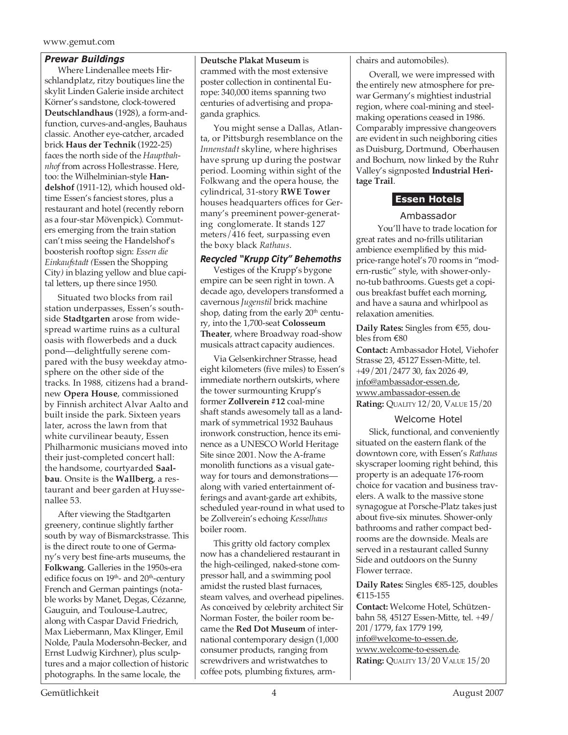#### www.gemut.com

#### *Prewar Buildings*

Where Lindenallee meets Hirschlandplatz, ritzy boutiques line the skylit Linden Galerie inside architect Körner's sandstone, clock-towered **Deutschlandhaus** (1928), a form-andfunction, curves-and-angles, Bauhaus classic. Another eye-catcher, arcaded brick **Haus der Technik** (1922-25) faces the north side of the *Hauptbahnhof* from across Hollestrasse. Here, too: the Wilhelminian-style **Handelshof** (1911-12), which housed oldtime Essen's fanciest stores, plus a restaurant and hotel (recently reborn as a four-star Mövenpick). Commuters emerging from the train station can't miss seeing the Handelshof's boosterish rooftop sign: *Essen die Einkaufstadt (*Essen the Shopping City*)* in blazing yellow and blue capital letters, up there since 1950.

Situated two blocks from rail station underpasses, Essen's southside **Stadtgarten** arose from widespread wartime ruins as a cultural oasis with flowerbeds and a duck pond—delightfully serene compared with the busy weekday atmosphere on the other side of the tracks. In 1988, citizens had a brandnew **Opera House**, commissioned by Finnish architect Alvar Aalto and built inside the park. Sixteen years later, across the lawn from that white curvilinear beauty, Essen Philharmonic musicians moved into their just-completed concert hall: the handsome, courtyarded **Saalbau**. Onsite is the **Wallberg**, a restaurant and beer garden at Huyssenallee 53.

After viewing the Stadtgarten greenery, continue slightly farther south by way of Bismarckstrasse. This is the direct route to one of Germany's very best fine-arts museums, the **Folkwang**. Galleries in the 1950s-era edifice focus on  $19<sup>th</sup>$ - and  $20<sup>th</sup>$ -century French and German paintings (notable works by Manet, Degas, Cézanne, Gauguin, and Toulouse-Lautrec, along with Caspar David Friedrich, Max Liebermann, Max Klinger, Emil Nolde, Paula Modersohn-Becker, and Ernst Ludwig Kirchner), plus sculptures and a major collection of historic photographs. In the same locale, the

**Deutsche Plakat Museum** is crammed with the most extensive poster collection in continental Europe: 340,000 items spanning two centuries of advertising and propaganda graphics.

You might sense a Dallas, Atlanta, or Pittsburgh resemblance on the *Innenstadt* skyline, where highrises have sprung up during the postwar period. Looming within sight of the Folkwang and the opera house, the cylindrical, 31-story **RWE Tower** houses headquarters offices for Germany's preeminent power-generating conglomerate. It stands 127 meters/416 feet, surpassing even the boxy black *Rathaus*.

#### *Recycled "Krupp City" Behemoths*

Vestiges of the Krupp's bygone empire can be seen right in town. A decade ago, developers transformed a cavernous *Jugenstil* brick machine shop, dating from the early  $20<sup>th</sup>$  century, into the 1,700-seat **Colosseum Theater**, where Broadway road-show musicals attract capacity audiences.

Via Gelsenkirchner Strasse, head eight kilometers (five miles) to Essen's immediate northern outskirts, where the tower surmounting Krupp's former **Zollverein #12** coal-mine shaft stands awesomely tall as a landmark of symmetrical 1932 Bauhaus ironwork construction, hence its eminence as a UNESCO World Heritage Site since 2001. Now the A-frame monolith functions as a visual gateway for tours and demonstrations along with varied entertainment offerings and avant-garde art exhibits, scheduled year-round in what used to be Zollverein's echoing *Kesselhaus* boiler room.

This gritty old factory complex now has a chandeliered restaurant in the high-ceilinged, naked-stone compressor hall, and a swimming pool amidst the rusted blast furnaces, steam valves, and overhead pipelines. As conceived by celebrity architect Sir Norman Foster, the boiler room became the **Red Dot Museum** of international contemporary design (1,000 consumer products, ranging from screwdrivers and wristwatches to coffee pots, plumbing fixtures, armchairs and automobiles).

Overall, we were impressed with the entirely new atmosphere for prewar Germany's mightiest industrial region, where coal-mining and steelmaking operations ceased in 1986. Comparably impressive changeovers are evident in such neighboring cities as Duisburg, Dortmund, Oberhausen and Bochum, now linked by the Ruhr Valley's signposted **Industrial Heritage Trail**.

#### **Essen Hotels**

#### Ambassador

 You'll have to trade location for great rates and no-frills utilitarian ambience exemplified by this midprice-range hotel's 70 rooms in "modern-rustic" style, with shower-onlyno-tub bathrooms. Guests get a copious breakfast buffet each morning, and have a sauna and whirlpool as relaxation amenities.

#### **Daily Rates:** Singles from €55, doubles from €80

**Contact:** Ambassador Hotel, Viehofer Strasse 23, 45127 Essen-Mitte, tel. +49/201/2477 30, fax 2026 49, info@ambassador-essen.de, www.ambassador-essen.de **Rating:** QUALITY 12/20, VALUE 15/20

#### Welcome Hotel

Slick, functional, and conveniently situated on the eastern flank of the downtown core, with Essen's *Rathaus* skyscraper looming right behind, this property is an adequate 176-room choice for vacation and business travelers. A walk to the massive stone synagogue at Porsche-Platz takes just about five-six minutes. Shower-only bathrooms and rather compact bedrooms are the downside. Meals are served in a restaurant called Sunny Side and outdoors on the Sunny Flower terrace.

**Daily Rates:** Singles €85-125, doubles €115-155

**Contact:** Welcome Hotel, Schützenbahn 58, 45127 Essen-Mitte, tel. +49/ 201/1779, fax 1779 199, info@welcome-to-essen.de, www.welcome-to-essen.de. **Rating:** QUALITY 13/20 VALUE 15/20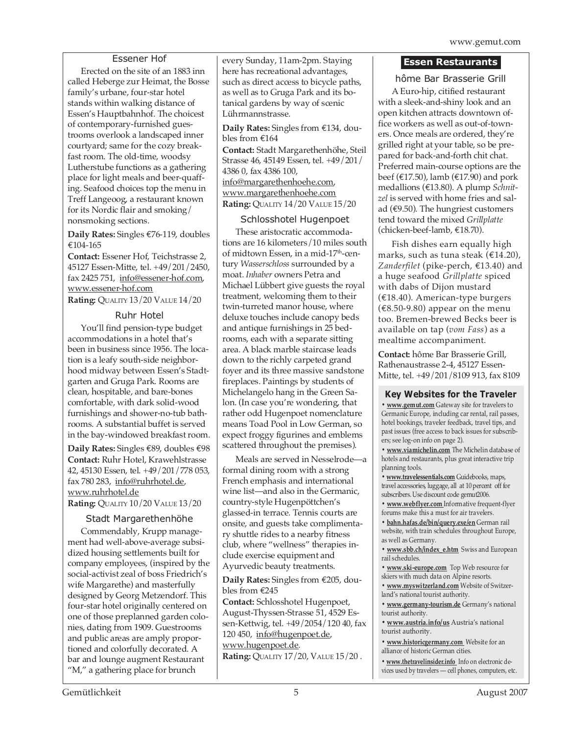#### Essener Hof

Erected on the site of an 1883 inn called Heberge zur Heimat, the Bosse family's urbane, four-star hotel stands within walking distance of Essen's Hauptbahnhof. The choicest of contemporary-furnished guestrooms overlook a landscaped inner courtyard; same for the cozy breakfast room. The old-time, woodsy Lutherstube functions as a gathering place for light meals and beer-quaffing. Seafood choices top the menu in Treff Langeoog, a restaurant known for its Nordic flair and smoking/ nonsmoking sections.

**Daily Rates:** Singles €76-119, doubles €104-165

**Contact:** Essener Hof, Teichstrasse 2, 45127 Essen-Mitte, tel. +49/201/2450, fax 2425 751, info@essener-hof.com, www.essener-hof.com **Rating:** QUALITY 13/20 VALUE 14/20

Ruhr Hotel

You'll find pension-type budget accommodations in a hotel that's been in business since 1956. The location is a leafy south-side neighborhood midway between Essen's Stadtgarten and Gruga Park. Rooms are clean, hospitable, and bare-bones comfortable, with dark solid-wood furnishings and shower-no-tub bathrooms. A substantial buffet is served in the bay-windowed breakfast room.

**Daily Rates:** Singles €89, doubles €98 **Contact:** Ruhr Hotel, Krawehlstrasse 42, 45130 Essen, tel. +49/201/778 053, fax 780 283, info@ruhrhotel.de, www.ruhrhotel.de

**Rating:** QUALITY 10/20 VALUE 13/20

#### Stadt Margarethenhöhe

Commendably, Krupp management had well-above-average subsidized housing settlements built for company employees, (inspired by the social-activist zeal of boss Friedrich's wife Margarethe) and masterfully designed by Georg Metzendorf. This four-star hotel originally centered on one of those preplanned garden colonies, dating from 1909. Guestrooms and public areas are amply proportioned and colorfully decorated. A bar and lounge augment Restaurant "M," a gathering place for brunch

every Sunday, 11am-2pm. Staying here has recreational advantages, such as direct access to bicycle paths, as well as to Gruga Park and its botanical gardens by way of scenic Lührmannstrasse.

**Daily Rates:** Singles from €134, doubles from €164

**Contact:** Stadt Margarethenhöhe, Steil Strasse 46, 45149 Essen, tel. +49/201/ 4386 0, fax 4386 100, info@margarethenhoehe.com, www.margarethenhoehe.com **Rating:** QUALITY 14/20 VALUE 15/20

#### Schlosshotel Hugenpoet

These aristocratic accommodations are 16 kilometers/10 miles south of midtown Essen, in a mid-17<sup>th</sup>-century *Wasserschloss* surrounded by a moat. *Inhaber* owners Petra and Michael Lübbert give guests the royal treatment, welcoming them to their twin-turreted manor house, where deluxe touches include canopy beds and antique furnishings in 25 bedrooms, each with a separate sitting area. A black marble staircase leads down to the richly carpeted grand foyer and its three massive sandstone fireplaces. Paintings by students of Michelangelo hang in the Green Salon. (In case you're wondering, that rather odd Hugenpoet nomenclature means Toad Pool in Low German, so expect froggy figurines and emblems scattered throughout the premises).

Meals are served in Nesselrode—a formal dining room with a strong French emphasis and international wine list—and also in the Germanic, country-style Hugenpöttchen's glassed-in terrace. Tennis courts are onsite, and guests take complimentary shuttle rides to a nearby fitness club, where "wellness" therapies include exercise equipment and Ayurvedic beauty treatments.

**Daily Rates:** Singles from €205, doubles from €245

**Contact:** Schlosshotel Hugenpoet, August-Thyssen-Strasse 51, 4529 Essen-Kettwig, tel. +49/2054/120 40, fax 120 450, info@hugenpoet.de, www.hugenpoet.de. **Rating: QUALITY 17/20, VALUE 15/20.** 

#### **Essen Restaurants**

hôme Bar Brasserie Grill

A Euro-hip, citified restaurant with a sleek-and-shiny look and an open kitchen attracts downtown office workers as well as out-of-towners. Once meals are ordered, they're grilled right at your table, so be prepared for back-and-forth chit chat. Preferred main-course options are the beef (€17.50), lamb (€17.90) and pork medallions (€13.80). A plump *Schnitzel* is served with home fries and salad (€9.50). The hungriest customers tend toward the mixed *Grillplatte* (chicken-beef-lamb, €18.70).

Fish dishes earn equally high marks, such as tuna steak (€14.20), *Zanderfilet* (pike-perch, €13.40) and a huge seafood *Grillplatte* spiced with dabs of Dijon mustard (€18.40). American-type burgers  $(\text{\textsterling}8.50\text{-}9.80)$  appear on the menu too. Bremen-brewed Becks beer is available on tap (*vom Fass*) as a mealtime accompaniment.

**Contact:** hôme Bar Brasserie Grill, Rathenaustrasse 2-4, 45127 Essen-Mitte, tel. +49/201/8109 913, fax 8109

#### **Key Websites for the Traveler**

**• www.gemut.com** Gateway site for travelers to Germanic Europe, including car rental, rail passes, hotel bookings, traveler feedback, travel tips, and past issues (free access to back issues for subscribers; see log-on info on page 2).

**• www.viamichelin.com** The Michelin database of hotels and restaurants, plus great interactive trip planning tools.

**• www.travelessentials.com** Guidebooks, maps, travel accessories, luggage, all at 10 percent off for subscribers. Use discount code gemut2006.

**• www.webflyer.com** Informative frequent-flyer forums make this a must for air travelers.

**• bahn.hafas.de/bin/query.exe/en** German rail website, with train schedules throughout Europe, as well as Germany.

**• www.sbb.ch/index\_e.htm** Swiss and European rail schedules.

**• www.ski-europe.com** Top Web resource for skiers with much data on Alpine resorts.

**• www.myswitzerland.com** Website of Switzerland's national tourist authority.

**• www.germany-tourism.de** Germany's national tourist authority.

**• www.austria.info/us** Austria's national tourist authority.

**• www.historicgermany.com** Website for an alliance of historic German cities.

**• www.thetravelinsider.info** Info on electronic devices used by travelers — cell phones, computers, etc.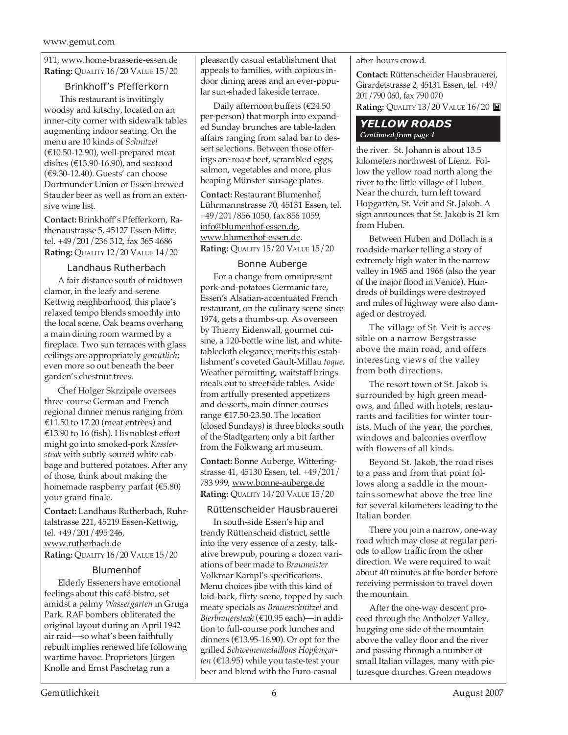911, www.home-brasserie-essen.de **Rating:** QUALITY 16/20 VALUE 15/20

#### Brinkhoff's Pfefferkorn

 This restaurant is invitingly woodsy and kitschy, located on an inner-city corner with sidewalk tables augmenting indoor seating. On the menu are 10 kinds of *Schnitzel*  $(\text{\textsterling}10.50-12.90)$ , well-prepared meat dishes (€13.90-16.90), and seafood (€9.30-12.40). Guests' can choose Dortmunder Union or Essen-brewed Stauder beer as well as from an extensive wine list.

**Contact:** Brinkhoff's Pfefferkorn, Rathenaustrasse 5, 45127 Essen-Mitte, tel. +49/201/236 312, fax 365 4686 **Rating:** QUALITY 12/20 VALUE 14/20

#### Landhaus Rutherbach

A fair distance south of midtown clamor, in the leafy and serene Kettwig neighborhood, this place's relaxed tempo blends smoothly into the local scene. Oak beams overhang a main dining room warmed by a fireplace. Two sun terraces with glass ceilings are appropriately *gemütlich*; even more so out beneath the beer garden's chestnut trees.

Chef Holger Skrzipale oversees three-course German and French regional dinner menus ranging from €11.50 to 17.20 (meat entrèes) and €13.90 to 16 (fish). His noblest effort might go into smoked-pork *Kasslersteak* with subtly soured white cabbage and buttered potatoes. After any of those, think about making the homemade raspberry parfait (€5.80) your grand finale.

**Contact:** Landhaus Rutherbach, Ruhrtalstrasse 221, 45219 Essen-Kettwig, tel. +49/201/495 246, www.rutherbach.de **Rating:** QUALITY 16/20 VALUE 15/20

#### Blumenhof

Elderly Esseners have emotional feelings about this café-bistro, set amidst a palmy *Wassergarten* in Gruga Park. RAF bombers obliterated the original layout during an April 1942 air raid—so what's been faithfully rebuilt implies renewed life following wartime havoc. Proprietors Jürgen Knolle and Ernst Paschetag run a

pleasantly casual establishment that appeals to families, with copious indoor dining areas and an ever-popular sun-shaded lakeside terrace.

Daily afternoon buffets (€24.50 per-person) that morph into expanded Sunday brunches are table-laden affairs ranging from salad bar to dessert selections. Between those offerings are roast beef, scrambled eggs, salmon, vegetables and more, plus heaping Münster sausage plates.

**Contact:** Restaurant Blumenhof, Lührmannstrasse 70, 45131 Essen, tel. +49/201/856 1050, fax 856 1059, info@blumenhof-essen.de, www.blumenhof-essen.de. **Rating:** QUALITY 15/20 VALUE 15/20

#### Bonne Auberge

For a change from omnipresent pork-and-potatoes Germanic fare, Essen's Alsatian-accentuated French restaurant, on the culinary scene since 1974, gets a thumbs-up. As overseen by Thierry Eidenwall, gourmet cuisine, a 120-bottle wine list, and whitetablecloth elegance, merits this establishment's coveted Gault-Millau *toque*. Weather permitting, waitstaff brings meals out to streetside tables. Aside from artfully presented appetizers and desserts, main dinner courses range €17.50-23.50. The location (closed Sundays) is three blocks south of the Stadtgarten; only a bit farther from the Folkwang art museum.

**Contact:** Bonne Auberge, Witteringstrasse 41, 45130 Essen, tel. +49/201/ 783 999, www.bonne-auberge.de **Rating:** QUALITY 14/20 VALUE 15/20

#### Rüttenscheider Hausbrauerei

In south-side Essen's hip and trendy Rüttenscheid district, settle into the very essence of a zesty, talkative brewpub, pouring a dozen variations of beer made to *Braumeister* Volkmar Kampl's specifications. Menu choices jibe with this kind of laid-back, flirty scene, topped by such meaty specials as *Brauerschnitzel* and *Bierbrauersteak* (€10.95 each)—in addition to full-course pork lunches and dinners (€13.95-16.90). Or opt for the grilled *Schweinemedaillons Hopfengarten* (€13.95) while you taste-test your beer and blend with the Euro-casual

after-hours crowd.

**Contact:** Rüttenscheider Hausbrauerei, Girardetstrasse 2, 45131 Essen, tel. +49/ 201/790 060, fax 790 070

**Rating: QUALITY 13/20 VALUE 16/20 <b>E** 

#### *YELLOW ROADS Continued from page 1*

the river. St. Johann is about 13.5 kilometers northwest of Lienz. Follow the yellow road north along the river to the little village of Huben. Near the church, turn left toward Hopgarten, St. Veit and St. Jakob. A sign announces that St. Jakob is 21 km from Huben.

Between Huben and Dollach is a roadside marker telling a story of extremely high water in the narrow valley in 1965 and 1966 (also the year of the major flood in Venice). Hundreds of buildings were destroyed and miles of highway were also damaged or destroyed.

The village of St. Veit is accessible on a narrow Bergstrasse above the main road, and offers interesting views of the valley from both directions.

The resort town of St. Jakob is surrounded by high green meadows, and filled with hotels, restaurants and facilities for winter tourists. Much of the year, the porches, windows and balconies overflow with flowers of all kinds.

Beyond St. Jakob, the road rises to a pass and from that point follows along a saddle in the mountains somewhat above the tree line for several kilometers leading to the Italian border.

There you join a narrow, one-way road which may close at regular periods to allow traffic from the other direction. We were required to wait about 40 minutes at the border before receiving permission to travel down the mountain.

After the one-way descent proceed through the Antholzer Valley, hugging one side of the mountain above the valley floor and the river and passing through a number of small Italian villages, many with picturesque churches. Green meadows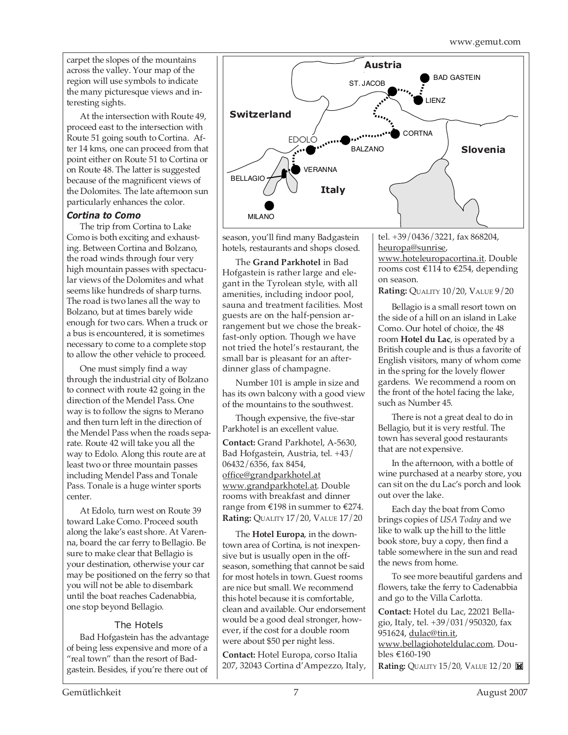carpet the slopes of the mountains across the valley. Your map of the region will use symbols to indicate the many picturesque views and interesting sights.

At the intersection with Route 49, proceed east to the intersection with Route 51 going south to Cortina. After 14 kms, one can proceed from that point either on Route 51 to Cortina or on Route 48. The latter is suggested because of the magnificent views of the Dolomites. The late afternoon sun particularly enhances the color.

#### *Cortina to Como*

The trip from Cortina to Lake Como is both exciting and exhausting. Between Cortina and Bolzano, the road winds through four very high mountain passes with spectacular views of the Dolomites and what seems like hundreds of sharp turns. The road is two lanes all the way to Bolzano, but at times barely wide enough for two cars. When a truck or a bus is encountered, it is sometimes necessary to come to a complete stop to allow the other vehicle to proceed.

One must simply find a way through the industrial city of Bolzano to connect with route 42 going in the direction of the Mendel Pass. One way is to follow the signs to Merano and then turn left in the direction of the Mendel Pass when the roads separate. Route 42 will take you all the way to Edolo. Along this route are at least two or three mountain passes including Mendel Pass and Tonale Pass. Tonale is a huge winter sports center.

At Edolo, turn west on Route 39 toward Lake Como. Proceed south along the lake's east shore. At Varenna, board the car ferry to Bellagio. Be sure to make clear that Bellagio is your destination, otherwise your car may be positioned on the ferry so that you will not be able to disembark until the boat reaches Cadenabbia, one stop beyond Bellagio.

#### The Hotels

Bad Hofgastein has the advantage of being less expensive and more of a "real town" than the resort of Badgastein. Besides, if you're there out of



season, you'll find many Badgastein hotels, restaurants and shops closed.

The **Grand Parkhotel** in Bad Hofgastein is rather large and elegant in the Tyrolean style, with all amenities, including indoor pool, sauna and treatment facilities. Most guests are on the half-pension arrangement but we chose the breakfast-only option. Though we have not tried the hotel's restaurant, the small bar is pleasant for an afterdinner glass of champagne.

Number 101 is ample in size and has its own balcony with a good view of the mountains to the southwest.

Though expensive, the five-star Parkhotel is an excellent value.

**Contact:** Grand Parkhotel, A-5630, Bad Hofgastein, Austria, tel. +43/ 06432/6356, fax 8454, office@grandparkhotel.at www.grandparkhotel.at. Double rooms with breakfast and dinner range from €198 in summer to €274. **Rating:** QUALITY 17/20, VALUE 17/20

The **Hotel Europa**, in the downtown area of Cortina, is not inexpensive but is usually open in the offseason, something that cannot be said for most hotels in town. Guest rooms are nice but small. We recommend this hotel because it is comfortable, clean and available. Our endorsement would be a good deal stronger, however, if the cost for a double room were about \$50 per night less.

**Contact:** Hotel Europa, corso Italia 207, 32043 Cortina d'Ampezzo, Italy, tel. +39/0436/3221, fax 868204, heuropa@sunrise, www.hoteleuropacortina.it. Double

rooms cost €114 to €254, depending on season.

**Rating:** QUALITY 10/20, VALUE 9/20

Bellagio is a small resort town on the side of a hill on an island in Lake Como. Our hotel of choice, the 48 room **Hotel du Lac**, is operated by a British couple and is thus a favorite of English visitors, many of whom come in the spring for the lovely flower gardens. We recommend a room on the front of the hotel facing the lake, such as Number 45.

There is not a great deal to do in Bellagio, but it is very restful. The town has several good restaurants that are not expensive.

In the afternoon, with a bottle of wine purchased at a nearby store, you can sit on the du Lac's porch and look out over the lake.

Each day the boat from Como brings copies of *USA Today* and we like to walk up the hill to the little book store, buy a copy, then find a table somewhere in the sun and read the news from home.

To see more beautiful gardens and flowers, take the ferry to Cadenabbia and go to the Villa Carlotta.

**Contact:** Hotel du Lac, 22021 Bellagio, Italy, tel. +39/031/950320, fax 951624, dulac@tin.it, www.bellagiohoteldulac.com. Doubles €160-190 **Rating: QUALITY 15/20, VALUE 12/20**